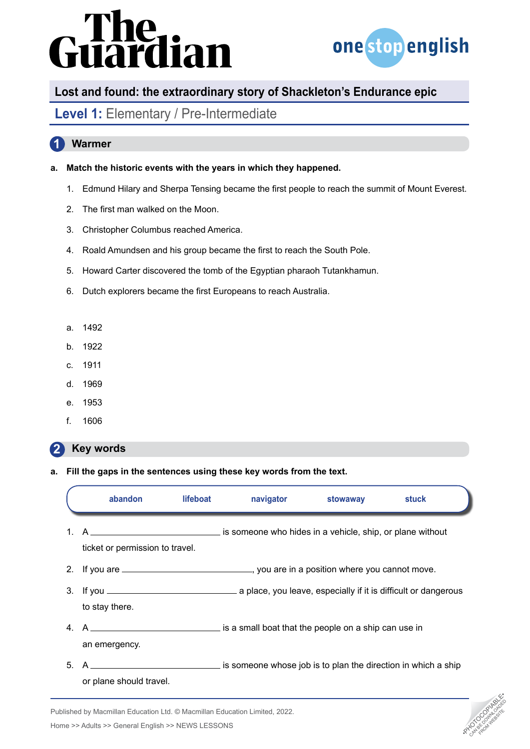# ardian



# **Lost and found: the extraordinary story of Shackleton's Endurance epic**

### **Level 1:** Elementary / Pre-Intermediate

### **1 Warmer**

### **a. Match the historic events with the years in which they happened.**

- 1. Edmund Hilary and Sherpa Tensing became the first people to reach the summit of Mount Everest.
- 2. The first man walked on the Moon.
- 3. Christopher Columbus reached America.
- 4. Roald Amundsen and his group became the first to reach the South Pole.
- 5. Howard Carter discovered the tomb of the Egyptian pharaoh Tutankhamun.
- 6. Dutch explorers became the first Europeans to reach Australia.
- a. 1492
- b. 1922
- c. 1911
- d. 1969
- e. 1953
- f. 1606

#### **2 Key words**

**a. Fill the gaps in the sentences using these key words from the text.**

|         | abandon                                                                                                           | lifeboat | navigator | stowaway | stuck |  |
|---------|-------------------------------------------------------------------------------------------------------------------|----------|-----------|----------|-------|--|
| $1_{-}$ | ticket or permission to travel.                                                                                   |          |           |          |       |  |
|         | 2. If you are <u>entitled and the second of the second section</u> , you are in a position where you cannot move. |          |           |          |       |  |
|         | to stay there.                                                                                                    |          |           |          |       |  |
|         | an emergency.                                                                                                     |          |           |          |       |  |
| 5.      | or plane should travel.                                                                                           |          |           |          |       |  |



Published by Macmillan Education Ltd. © Macmillan Education Limited, 2022.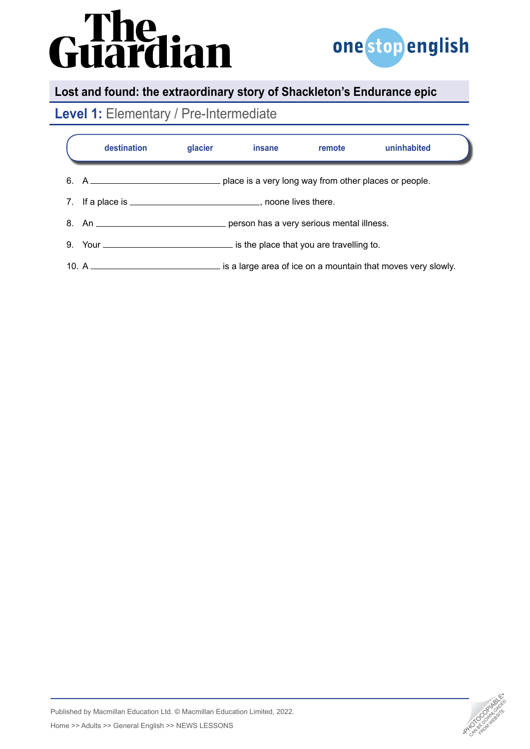# Guardian



# **Lost and found: the extraordinary story of Shackleton's Endurance epic**

# **Level 1:** Elementary / Pre-Intermediate

| destination                                                             | glacier | insane | remote | uninhabited                                                  |  |  |  |
|-------------------------------------------------------------------------|---------|--------|--------|--------------------------------------------------------------|--|--|--|
|                                                                         |         |        |        |                                                              |  |  |  |
| 7. If a place is __________________________________, noone lives there. |         |        |        |                                                              |  |  |  |
|                                                                         |         |        |        |                                                              |  |  |  |
|                                                                         |         |        |        |                                                              |  |  |  |
|                                                                         |         |        |        | is a large area of ice on a mountain that moves very slowly. |  |  |  |



Published by Macmillan Education Ltd. © Macmillan Education Limited, 2022. Home >> Adults >> General English >> NEWS LESSONS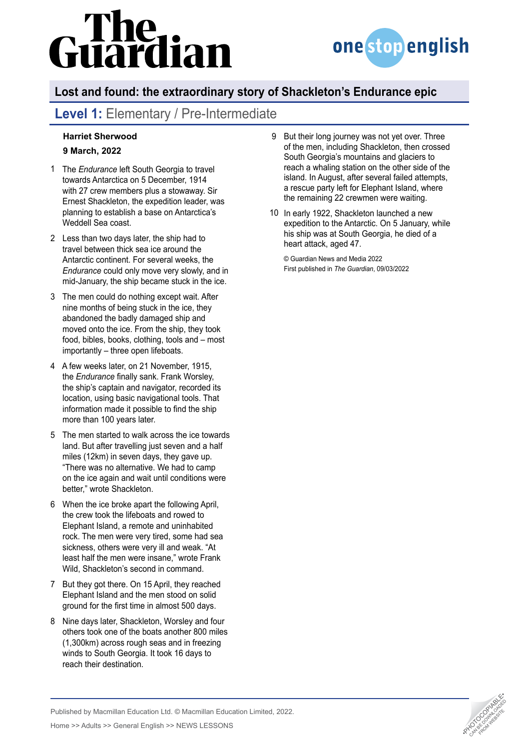# lian



# **Lost and found: the extraordinary story of Shackleton's Endurance epic**

# **Level 1:** Elementary / Pre-Intermediate

### **[Harriet Sherwood](https://www.theguardian.com/profile/harrietsherwood) 9 March, 2022**

- The *Endurance* left South Georgia to travel 1 towards [Antarctica](https://www.theguardian.com/world/antarctica) on 5 December, 1914 with 27 crew members plus a stowaway. Sir Ernest Shackleton, the expedition leader, was planning to establish a base on Antarctica's Weddell Sea coast.
- Less than two days later, the ship had to 2 travel between thick sea ice around the Antarctic continent. For several weeks, [the](https://www.theguardian.com/uk-news/gallery/2022/mar/09/sir-ernest-shackletons-ship-endurance-found-in-pictures)  *[Endurance](https://www.theguardian.com/uk-news/gallery/2022/mar/09/sir-ernest-shackletons-ship-endurance-found-in-pictures)* could only move very slowly, and in mid-January, the ship became stuck in the ice.
- The men could do nothing except wait. After 3 nine months of being stuck in the ice, they abandoned the badly damaged ship and moved onto the ice. From the ship, they took food, bibles, books, clothing, tools and – most importantly – three open lifeboats.
- A few weeks later, on 21 November, 1915, 4 the *Endurance* [finally sank.](https://www.theguardian.com/world/2022/mar/09/ernest-shackleton-wrecked-ship-endurance-antarctic) Frank Worsley, the ship's captain and navigator, recorded its location, using basic navigational tools. That information made it possible to find the ship more than 100 years later.
- The men started to walk across the ice towards 5 land. But after travelling just seven and a half miles (12km) in seven days, they gave up. "There was no alternative. We had to camp on the ice again and wait until conditions were better," wrote Shackleton.
- When the ice broke apart the following April, 6 the crew took the lifeboats and rowed to Elephant Island, a remote and uninhabited rock. The men were very tired, some had sea sickness, others were very ill and weak. "At least half the men were insane," wrote Frank Wild, Shackleton's second in command.
- 7 But they got there. On 15 April, they reached Elephant Island and the men stood on solid ground for the first time in almost 500 days.
- 8 Nine days later, Shackleton, Worsley and four others took one of the boats another 800 miles (1,300km) across rough seas and in freezing winds to South Georgia. It took 16 days to reach their destination.
- But their long journey was not yet over. Three of the men, including Shackleton, then crossed South Georgia's mountains and glaciers to reach a whaling station on the other side of the island. In August, after several failed attempts, a rescue party left for Elephant Island, where the remaining 22 crewmen were waiting.  $\mathsf{Q}$
- In early 1922, Shackleton launched a new 10expedition to the Antarctic. On 5 January, while his ship was at South Georgia, he [died of a](https://www.theguardian.com/world/2022/jan/28/ernest-shackleton-dies-at-sea-archive-1922)  [heart attack](https://www.theguardian.com/world/2022/jan/28/ernest-shackleton-dies-at-sea-archive-1922), aged 47.

© Guardian News and Media 2022 First published in *The Guardian*, 09/03/2022



Published by Macmillan Education Ltd. © Macmillan Education Limited, 2022.

Home >> Adults >> General English >> NEWS LESSONS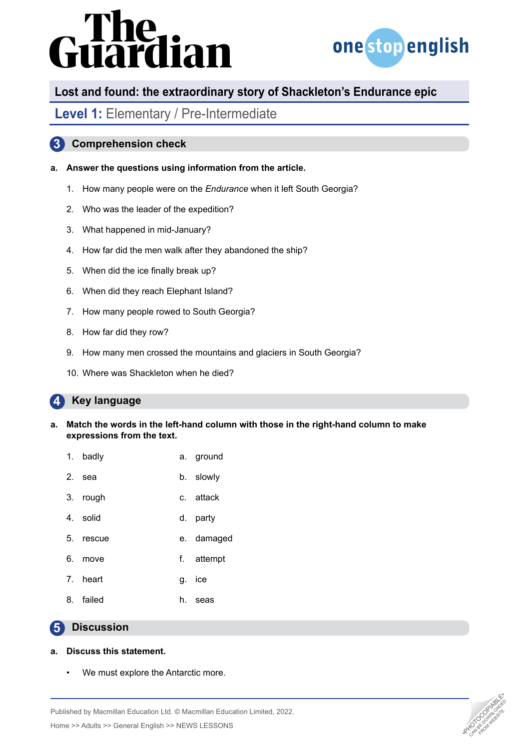# irdian



# **Lost and found: the extraordinary story of Shackleton's Endurance epic**

### **Level 1:** Elementary / Pre-Intermediate

### **3 Comprehension check**

### **a. Answer the questions using information from the article.**

- 1. How many people were on the *Endurance* when it left South Georgia?
- 2. Who was the leader of the expedition?
- 3. What happened in mid-January?
- 4. How far did the men walk after they abandoned the ship?
- 5. When did the ice finally break up?
- 6. When did they reach Elephant Island?
- 7. How many people rowed to South Georgia?
- 8. How far did they row?
- 9. How many men crossed the mountains and glaciers in South Georgia?
- 10. Where was Shackleton when he died?

#### **4 Key language**

- **a. Match the words in the left-hand column with those in the right-hand column to make expressions from the text.**
	- 1. badly a. ground
	- 2. sea b. slowly
	- 3. rough c. attack
	- 4. solid d. party
	- 5. rescue e. damaged
	- 6. move f. attempt
	- 7. heart g. ice
	- 8. failed h. seas

#### **5 Discussion**

### **a. Discuss this statement.**

We must explore the Antarctic more.



Home >> Adults >> General English >> NEWS LESSONS